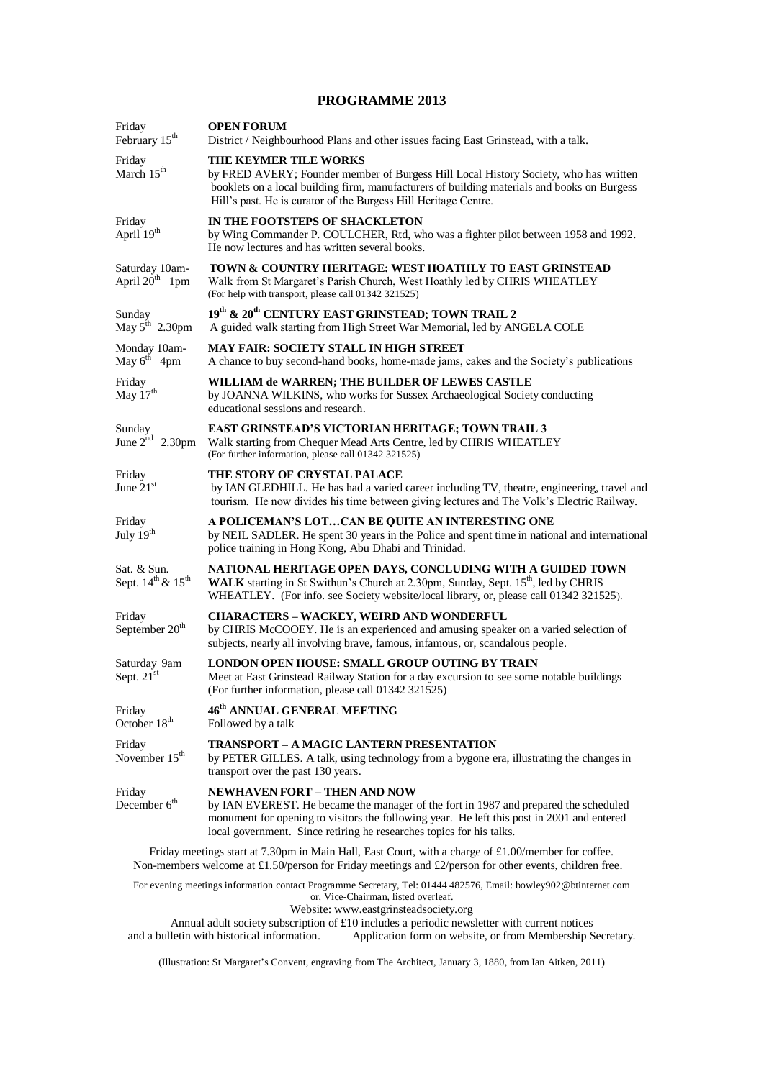## **PROGRAMME 2013**

| Friday<br>February 15 <sup>th</sup>                      | <b>OPEN FORUM</b><br>District / Neighbourhood Plans and other issues facing East Grinstead, with a talk.                                                                                                                                                                                          |  |  |  |
|----------------------------------------------------------|---------------------------------------------------------------------------------------------------------------------------------------------------------------------------------------------------------------------------------------------------------------------------------------------------|--|--|--|
| Friday<br>March 15 <sup>th</sup>                         | <b>THE KEYMER TILE WORKS</b><br>by FRED AVERY; Founder member of Burgess Hill Local History Society, who has written<br>booklets on a local building firm, manufacturers of building materials and books on Burgess<br>Hill's past. He is curator of the Burgess Hill Heritage Centre.            |  |  |  |
| Friday<br>April 19th                                     | IN THE FOOTSTEPS OF SHACKLETON<br>by Wing Commander P. COULCHER, Rtd, who was a fighter pilot between 1958 and 1992.<br>He now lectures and has written several books.                                                                                                                            |  |  |  |
| Saturday 10am-<br>April $20th$ 1pm                       | TOWN & COUNTRY HERITAGE: WEST HOATHLY TO EAST GRINSTEAD<br>Walk from St Margaret's Parish Church, West Hoathly led by CHRIS WHEATLEY<br>(For help with transport, please call 01342 321525)                                                                                                       |  |  |  |
| Sunday<br>May $5^{\text{th}}$ 2.30pm                     | 19th & 20th CENTURY EAST GRINSTEAD; TOWN TRAIL 2<br>A guided walk starting from High Street War Memorial, led by ANGELA COLE                                                                                                                                                                      |  |  |  |
| Monday 10am-<br>May $6^{th}$ 4pm                         | <b>MAY FAIR: SOCIETY STALL IN HIGH STREET</b><br>A chance to buy second-hand books, home-made jams, cakes and the Society's publications                                                                                                                                                          |  |  |  |
| Friday<br>May 17 <sup>th</sup>                           | WILLIAM de WARREN; THE BUILDER OF LEWES CASTLE<br>by JOANNA WILKINS, who works for Sussex Archaeological Society conducting<br>educational sessions and research.                                                                                                                                 |  |  |  |
| Sunday<br>June $2^{nd}$ 2.30pm                           | EAST GRINSTEAD'S VICTORIAN HERITAGE; TOWN TRAIL 3<br>Walk starting from Chequer Mead Arts Centre, led by CHRIS WHEATLEY<br>(For further information, please call 01342 321525)                                                                                                                    |  |  |  |
| Friday<br>June $21st$                                    | THE STORY OF CRYSTAL PALACE<br>by IAN GLEDHILL. He has had a varied career including TV, theatre, engineering, travel and<br>tourism. He now divides his time between giving lectures and The Volk's Electric Railway.                                                                            |  |  |  |
| Friday<br>July 19 <sup>th</sup>                          | A POLICEMAN'S LOTCAN BE QUITE AN INTERESTING ONE<br>by NEIL SADLER. He spent 30 years in the Police and spent time in national and international<br>police training in Hong Kong, Abu Dhabi and Trinidad.                                                                                         |  |  |  |
| Sat. & Sun.<br>Sept. 14 <sup>th</sup> & 15 <sup>th</sup> | NATIONAL HERITAGE OPEN DAYS, CONCLUDING WITH A GUIDED TOWN<br>WALK starting in St Swithun's Church at 2.30pm, Sunday, Sept. 15 <sup>th</sup> , led by CHRIS<br>WHEATLEY. (For info. see Society website/local library, or, please call 01342 321525).                                             |  |  |  |
| Friday<br>September 20 <sup>th</sup>                     | <b>CHARACTERS - WACKEY, WEIRD AND WONDERFUL</b><br>by CHRIS McCOOEY. He is an experienced and amusing speaker on a varied selection of<br>subjects, nearly all involving brave, famous, infamous, or, scandalous people.                                                                          |  |  |  |
| Saturday 9am<br>Sept. 21st                               | LONDON OPEN HOUSE: SMALL GROUP OUTING BY TRAIN<br>Meet at East Grinstead Railway Station for a day excursion to see some notable buildings<br>(For further information, please call 01342 321525)                                                                                                 |  |  |  |
| Friday<br>October 18 <sup>th</sup>                       | 46 <sup>th</sup> ANNUAL GENERAL MEETING<br>Followed by a talk                                                                                                                                                                                                                                     |  |  |  |
| Friday<br>November $15th$                                | <b>TRANSPORT - A MAGIC LANTERN PRESENTATION</b><br>by PETER GILLES. A talk, using technology from a bygone era, illustrating the changes in<br>transport over the past 130 years.                                                                                                                 |  |  |  |
| Friday<br>December $6th$                                 | <b>NEWHAVEN FORT - THEN AND NOW</b><br>by IAN EVEREST. He became the manager of the fort in 1987 and prepared the scheduled<br>monument for opening to visitors the following year. He left this post in 2001 and entered<br>local government. Since retiring he researches topics for his talks. |  |  |  |
|                                                          | Friday meetings start at 7.30pm in Main Hall, East Court, with a charge of £1.00/member for coffee.                                                                                                                                                                                               |  |  |  |

Non-members welcome at £1.50/person for Friday meetings and £2/person for other events, children free.

For evening meetings information contact Programme Secretary, Tel: 01444 482576, Email: [bowley902@btinternet.com](mailto:bowley902@btinternet.com) or, Vice-Chairman, listed overleaf.

Website: www.eastgrinsteadsociety.org

Annual adult society subscription of £10 includes a periodic newsletter with current notices and a bulletin with historical information. Application form on website, or from Membership S Application form on website, or from Membership Secretary.

(Illustration: St Margaret's Convent, engraving from The Architect, January 3, 1880, from Ian Aitken, 2011)